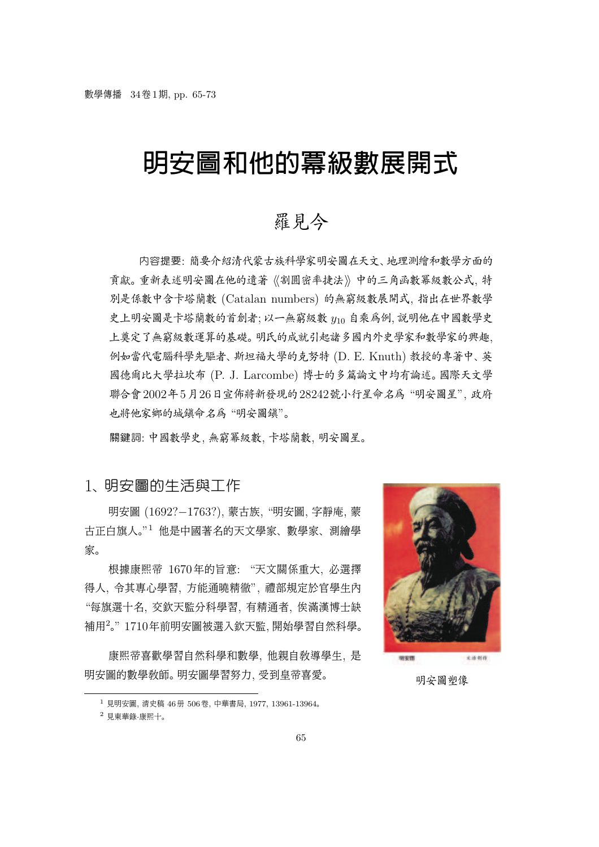# 明安圖和他的冪級數展開式

## 羅見今

内容提要: 簡要介紹清代蒙古族科學家明安圖在天文、地理測繪和數學方面的 貢獻。重新表述明安圖在他的遺著《割圓密率捷法》中的三角函數幂級數公式, 特 別是係數中含卡塔蘭數 (Catalan numbers) 的無窮級數展開式, 指出在世界數學 史上明安圖是卡塔蘭數的首創者; 以一無窮級數 y<sup>10</sup> 自乘為例, 說明他在中國數學史 上奠定了無窮級數運算的基礎。 明氏的成就引起諸多國內外史學家和數學家的興趣, 例如當代電腦科學先驅者、 斯坦福大學的克努特 (D. E. Knuth) 教授的專著中、 英 國德爾比大學拉坎布 (P. J. Larcombe) 博士的多篇論文中均有論述。 國際天文學 聯合會2002年5月26日宣佈將新發現的28242號小行星命名為 "明安圖星", 政府 也將他家鄉的城鎮命名為 "明安圖鎮"。

關鍵詞: 中國數學史, 無窮冪級數, 卡塔蘭數, 明安圖星。

## 1、 明安圖的生活與工作

<sup>明</sup>安圖 (1692?−1763?), <sup>蒙</sup>古族, "明安圖, <sup>字</sup>靜庵, <sup>蒙</sup> 古正白旗人。" <sup>1</sup> 他是中國著名的天文學家、 數學家、 測繪學 家。

根據康熙帝 1670年的旨意: "天文關係重大, 必選擇 得人, 令其專心學習, 方能通曉精徹", 禮部規定於官學生內 "每旗選十名, 交欽天監分科學習, 有精通者, 俟滿漢博士缺 補用<sup>2</sup> 。" 1710年前明安圖被選入欽天監, 開始學習自然科學。

康熙帝喜歡學習自然科學和數學, 他親自教導學生, 是 <sup>明</sup>安圖的數學教師。 <sup>明</sup>安圖學習努力, 受到皇帝喜愛。 <sup>明</sup>安圖塑<sup>像</sup>

明安图 文法创作

<sup>1</sup> 見明安圖, 清史稿 46冊 506卷, 中華書局, 1977, 13961-13964。 <sup>2</sup> 見東華錄·康熙十。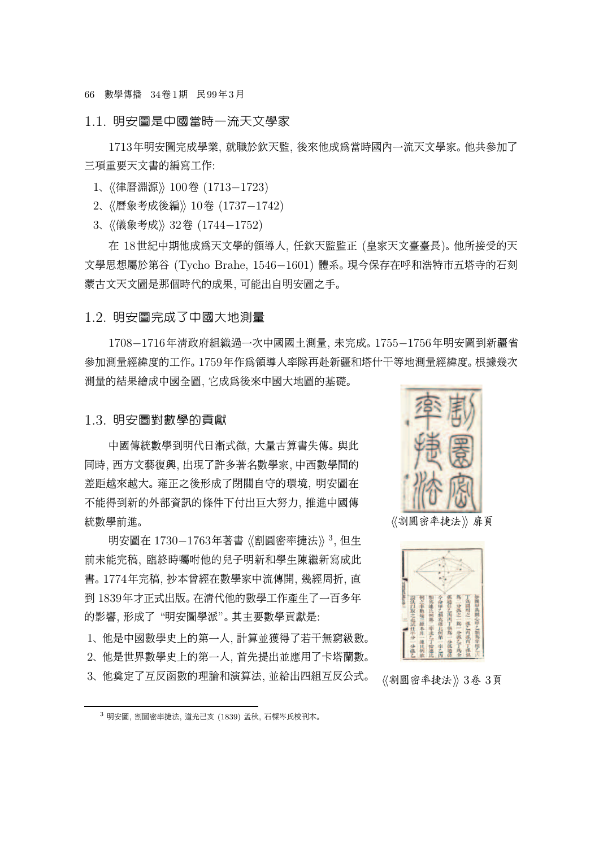66 數學傳播 34卷1期 民99年3月

#### 1.1. 明安圖是中國當時一流天文學家

1713年明安圖完成學業, 就職於欽天監, 後來他成為當時國內一流天文學家。 他共參加了 三項重要天文書的編寫工作:

1、《律曆淵源》100卷 (1713-1723)

2、《曆象考成後編》10卷 (1737-1742)

3、 《儀象考成》 32卷 (1744-1752)

在 18世紀中期他成為天文學的領導人, 任欽天監監正 (皇家天文臺臺長)。 他所接受的天 <sup>文</sup>學思想屬於第<sup>谷</sup> (Tycho Brahe, 1546−1601) <sup>體</sup>系。 <sup>現</sup>今保存在呼和浩特市五塔寺的石<sup>刻</sup> 蒙古文天文圖是那個時代的成果, 可能出自明安圖之手。

#### 1.2. 明安圖完成了中國大地測量

<sup>1708</sup>−1716年清政府組織過一次中國國土測量, <sup>未</sup>完成。 <sup>1755</sup>−1756年明安圖到新疆<sup>省</sup> 參加測量經緯度的工作。 1759年作為領導人率隊再赴新疆和塔什干等地測量經緯度。 根據幾次 測量的結果繪成中國全圖, 它成為後來中國大地圖的基礎。

#### 1.3. 明安圖對數學的貢獻

中國傳統數學到明代日漸式微, 大量古算書失傳。 與此 同時, 西方文藝復興, 出現了許多著名數學家, 中西數學間的 差距越來越大。 雍正之後形成了閉關自守的環境, 明安圖在 不能得到新的外部資訊的條件下付出巨大努力, 推進中國傳 統數學前進。

明安圖在 1730−1763年著書《割圓密率捷法》 $^3$ , 但生 前未能完稿, 臨終時囑咐他的兒子明新和學生陳繼新寫成此 書。 1774年完稿, 抄本曾經在數學家中流傳開, 幾經周折, 直 到 1839年才正式出版。 在清代他的數學工作產生了一百多年 的影響, 形成了 "明安圖學派"。 其主要數學貢獻是:

1、 他是中國數學史上的第一人, 計算並獲得了若干無窮級數。 2、 他是世界數學史上的第一人, 首先提出並應用了卡塔蘭數。 3、 他奠定了互反函數的理論和演算法, 並給出四組互反公式。



《割圓密率捷法》扉頁



《割圓密率捷法》3卷 3頁

<sup>3</sup> 明安圖, 割圜密率捷法, 道光己亥 (1839) 孟秋, 石樑岑氏校刊本。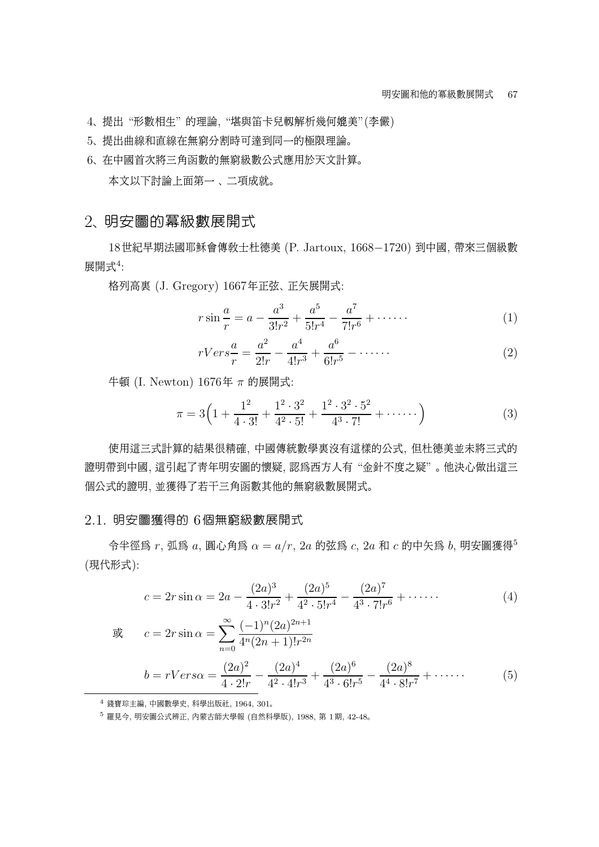4、 提出 "形數相生" 的理論, "堪與笛卡兒軔解析幾何媲美"(李儼)

- 5、 提出曲線和直線在無窮分割時可達到同一的極限理論。
- 6、 在中國首次將三角函數的無窮級數公式應用於天文計算。

本文以下討論上面第一 、 二項成就。

## 2、 明安圖的冪級數展開式

<sup>18</sup>世紀早期法國耶穌會傳教士杜德<sup>美</sup> (P. Jartoux, 1668−1720) 到中國, <sup>帶</sup>來三個級<sup>數</sup> 展開式<sup>4</sup> :

格列高裏 (J. Gregory) 1667年正弦、 正矢展開式:

$$
r\sin\frac{a}{r} = a - \frac{a^3}{3!r^2} + \frac{a^5}{5!r^4} - \frac{a^7}{7!r^6} + \cdots \cdots \tag{1}
$$

$$
rVers\frac{a}{r} = \frac{a^2}{2!r} - \frac{a^4}{4!r^3} + \frac{a^6}{6!r^5} - \dots \tag{2}
$$

牛頓 (I. Newton) 1676年 π 的展開式:

$$
\pi = 3\left(1 + \frac{1^2}{4 \cdot 3!} + \frac{1^2 \cdot 3^2}{4^2 \cdot 5!} + \frac{1^2 \cdot 3^2 \cdot 5^2}{4^3 \cdot 7!} + \cdots\right) \tag{3}
$$

使用這三式計算的結果很精確, 中國傳統數學裏沒有這樣的公式, 但杜德美並未將三式的 證明帶到中國, 這引起了青年明安圖的懷疑, 認為西方人有 "金針不度之疑" 。 他決心做出這三 個公式的證明, 並獲得了若干三角函數其他的無窮級數展開式。

#### 2.1. 明安圖獲得的 6個無窮級數展開式

令半徑為 r, 弧為 a, 圓心角為 α = a/r, 2a 的弦為 c, 2a 和 c 的中矢為 b, 明安圖獲得<sup>5</sup> (現代形式):

$$
c = 2r \sin \alpha = 2a - \frac{(2a)^3}{4 \cdot 3! r^2} + \frac{(2a)^5}{4^2 \cdot 5! r^4} - \frac{(2a)^7}{4^3 \cdot 7! r^6} + \cdots
$$
 (4)

$$
\vec{g} \qquad c = 2r \sin \alpha = \sum_{n=0}^{\infty} \frac{(-1)^n (2a)^{2n+1}}{4^n (2n+1)! r^{2n}}
$$
\n
$$
b = rVers \alpha = \frac{(2a)^2}{4 \cdot 2! r} - \frac{(2a)^4}{4^2 \cdot 4! r^3} + \frac{(2a)^6}{4^3 \cdot 6! r^5} - \frac{(2a)^8}{4^4 \cdot 8! r^7} + \cdots \qquad (5)
$$

<sup>4</sup> 錢寶琮主編, 中國數學史, 科學出版社, 1964, 301。

<sup>5</sup> 羅見今, 明安圖公式辨正, 內蒙古師大學報 (自然科學版), 1988, 第 1期, 42-48。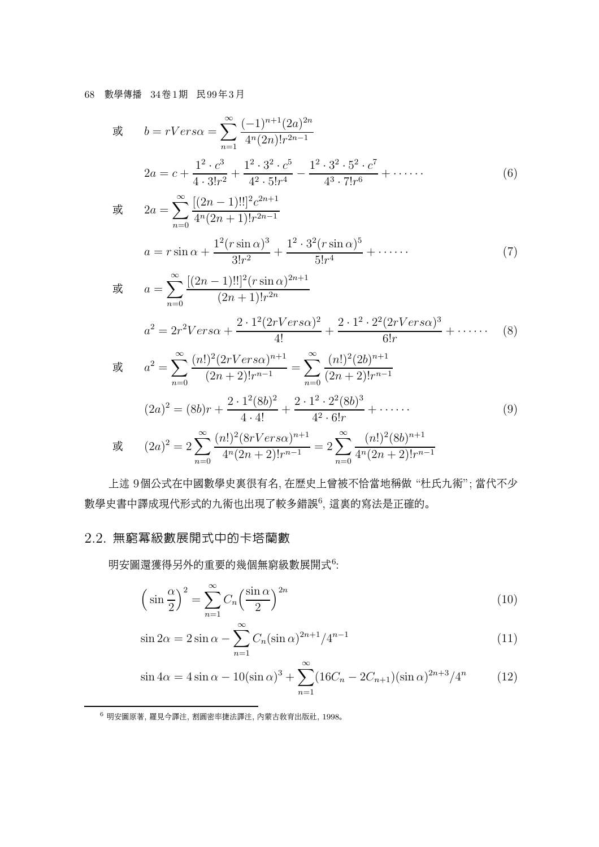#### 68 數學傳播 34卷1期 民99年3月

$$
\vec{g} \quad b = rVers \alpha = \sum_{n=1}^{\infty} \frac{(-1)^{n+1} (2a)^{2n}}{4^n (2n)! r^{2n-1}}
$$
\n
$$
2a = c + \frac{1^2 \cdot c^3}{4 \cdot 3! r^2} + \frac{1^2 \cdot 3^2 \cdot c^5}{4^2 \cdot 5! r^4} - \frac{1^2 \cdot 3^2 \cdot 5^2 \cdot c^7}{4^3 \cdot 7! r^6} + \cdots \tag{6}
$$

$$
\vec{\mathbf{g}} \qquad 2a = \sum_{n=0}^{\infty} \frac{[(2n-1)!!]^2 c^{2n+1}}{4^n (2n+1)! r^{2n-1}}
$$
\n
$$
a = r \sin \alpha + \frac{1^2 (r \sin \alpha)^3}{3! r^2} + \frac{1^2 \cdot 3^2 (r \sin \alpha)^5}{5! r^4} + \cdots \qquad (7)
$$

$$
\begin{aligned}\n\mathfrak{F} &= \sum_{n=0}^{\infty} \frac{[(2n-1)!!]^2 (r \sin \alpha)^{2n+1}}{(2n+1)! r^{2n}} \\
a^2 &= 2r^2 V \, \text{erg}\n\end{aligned}
$$
\n
$$
\begin{aligned}\na^2 &= 2r^2 V \, \text{erg}\n\end{aligned}
$$
\n
$$
\begin{aligned}\na^2 &= \sum_{n=0}^{\infty} \frac{(n!)^2 (2r V \, \text{erg}\n\alpha)^{n+1}}{(2n+2)! r^{n-1}} = \sum_{n=0}^{\infty} \frac{(n!)^2 (2b)^{n+1}}{(2n+2)! r^{n-1}}\n\end{aligned}
$$
\n
$$
\begin{aligned}\n(8)\n\end{aligned}
$$

$$
(2a)^{2} = (8b)r + \frac{2 \cdot 1^{2}(8b)^{2}}{4 \cdot 4!} + \frac{2 \cdot 1^{2} \cdot 2^{2}(8b)^{3}}{4^{2} \cdot 6!r} + \cdots
$$
\n(9)

$$
\mathbb{E} \qquad (2a)^2 = 2 \sum_{n=0}^{\infty} \frac{(n!)^2 (8rVers \alpha)^{n+1}}{4^n (2n+2)! r^{n-1}} = 2 \sum_{n=0}^{\infty} \frac{(n!)^2 (8b)^{n+1}}{4^n (2n+2)! r^{n-1}}
$$

上述 9個公式在中國數學史裏很有名, 在歷史上曾被不恰當地稱做 "杜氏九術"; 當代不少 數學史書中譯成現代形式的九術也出現了較多錯誤<sup>6</sup>, 這裏的寫法是正確的。

## 2.2. 無窮冪級數展開式中的卡塔蘭數

明安圖還獲得另外的重要的幾個無窮級數展開式<sup>6</sup>:

$$
\left(\sin\frac{\alpha}{2}\right)^2 = \sum_{n=1}^{\infty} C_n \left(\frac{\sin\alpha}{2}\right)^{2n} \tag{10}
$$

$$
\sin 2\alpha = 2 \sin \alpha - \sum_{n=1}^{\infty} C_n (\sin \alpha)^{2n+1} / 4^{n-1}
$$
\n(11)

$$
\sin 4\alpha = 4 \sin \alpha - 10(\sin \alpha)^3 + \sum_{n=1}^{\infty} (16C_n - 2C_{n+1})(\sin \alpha)^{2n+3}/4^n \tag{12}
$$

<sup>6</sup> 明安圖原著, 羅見今譯注, 割圓密率捷法譯注, 內蒙古教育出版社, 1998。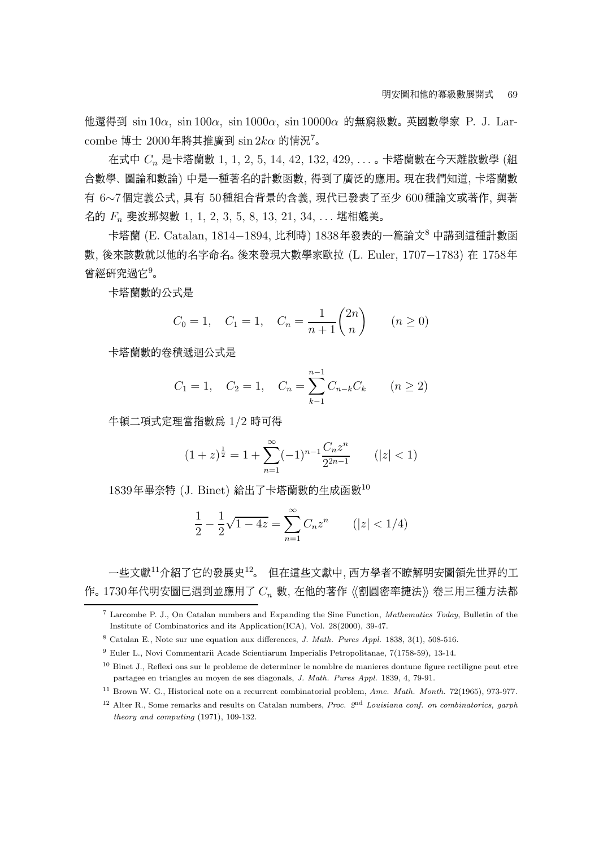他還得到 sin 10α, sin 100α, sin 1000α, sin 10000α 的無窮級數。 英國數學家 P. J. Larcombe 博士 2000年將其推廣到  $\sin 2k\alpha$  的情況<sup>7</sup>。

在式中  $C_n$  是卡塔蘭數 1, 1, 2, 5, 14, 42, 132, 429, ...。卡塔蘭數在今天離散數學 (組 合數學、 圖論和數論) 中是一種著名的計數函數, 得到了廣泛的應用。 現在我們知道, 卡塔蘭數 <sup>有</sup> <sup>6</sup>∼7個定義公式, <sup>具</sup><sup>有</sup> <sup>50</sup>種組合背景的含義, <sup>現</sup>代已發表了至<sup>少</sup> <sup>600</sup>種論文或著作, 與著 名的 F<sup>n</sup> 斐波那契數 1, 1, 2, 3, 5, 8, 13, 21, 34, . . . 堪相媲美。

<sup>卡</sup>塔<sup>蘭</sup> (E. Catalan, 1814−1894, <sup>比</sup>利時) 1838年發表的一篇論文<sup>8</sup> <sup>中</sup>講到這種計數<sup>函</sup> <sup>數</sup>, <sup>後</sup>來該數就以他的名字命名。 <sup>後</sup>來發現大數學家歐<sup>拉</sup> (L. Euler, 1707−1783) <sup>在</sup> <sup>1758</sup><sup>年</sup> 曾經研究過它 $9$ 。

卡塔蘭數的公式是

$$
C_0 = 1
$$
,  $C_1 = 1$ ,  $C_n = \frac{1}{n+1} {2n \choose n}$   $(n \ge 0)$ 

卡塔蘭數的卷積遞迴公式是

$$
C_1 = 1
$$
,  $C_2 = 1$ ,  $C_n = \sum_{k=1}^{n-1} C_{n-k} C_k$   $(n \ge 2)$ 

牛頓二項式定理當指數為 1/2 時可得

$$
(1+z)^{\frac{1}{2}} = 1 + \sum_{n=1}^{\infty} (-1)^{n-1} \frac{C_n z^n}{2^{2n-1}} \qquad (|z| < 1)
$$

1839年畢奈特 (J. Binet) 給出了卡塔蘭數的生成函數<sup>10</sup>

$$
\frac{1}{2} - \frac{1}{2}\sqrt{1 - 4z} = \sum_{n=1}^{\infty} C_n z^n \qquad (|z| < 1/4)
$$

一些文獻<sup>11</sup>介紹了它的發展史<sup>12</sup>。 但在這些文獻中, 西方學者不瞭解明安圖領先世界的工 作。 1730年代明安圖已遇到並應用了 $C_n$ 數, 在他的著作《割圓密率捷法》卷三用三種方法都

<sup>7</sup> Larcombe P. J., On Catalan numbers and Expanding the Sine Function, Mathematics Today, Bulletin of the Institute of Combinatorics and its Application(ICA), Vol. 28(2000), 39-47.

<sup>8</sup> Catalan E., Note sur une equation aux differences, J. Math. Pures Appl. 1838, 3(1), 508-516.

<sup>9</sup> Euler L., Novi Commentarii Acade Scientiarum Imperialis Petropolitanae, 7(1758-59), 13-14.

<sup>10</sup> Binet J., Reflexi ons sur le probleme de determiner le nomblre de manieres dontune figure rectiligne peut etre partagee en triangles au moyen de ses diagonals, J. Math. Pures Appl. 1839, 4, 79-91.

<sup>&</sup>lt;sup>11</sup> Brown W. G., Historical note on a recurrent combinatorial problem, Ame. Math. Month. 72(1965), 973-977.

<sup>&</sup>lt;sup>12</sup> Alter R., Some remarks and results on Catalan numbers, *Proc.*  $2<sup>nd</sup>$  Louisiana conf. on combinatorics, garph theory and computing (1971), 109-132.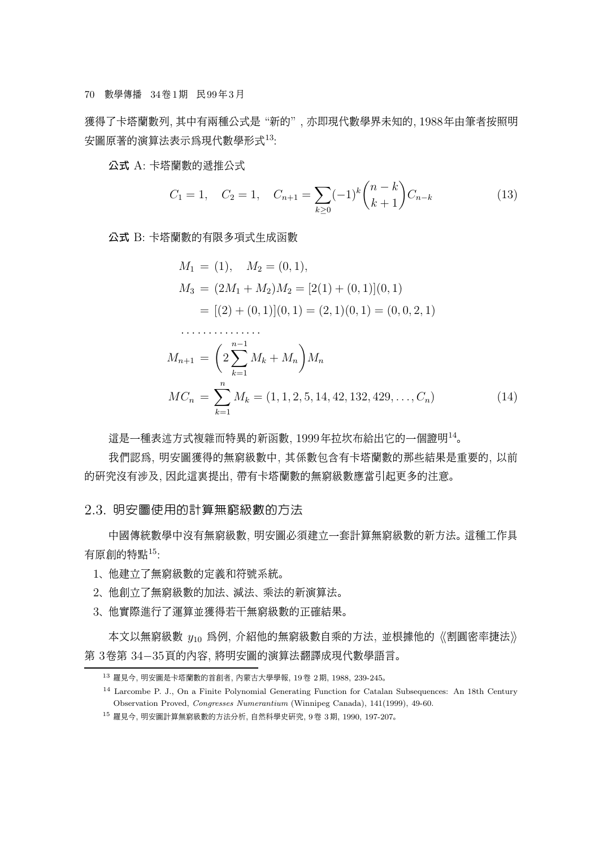獲得了卡塔蘭數列, 其中有兩種公式是 "新的" , 亦即現代數學界未知的, 1988年由筆者按照明 安圖原著的演算法表示為現代數學形式<sup>13</sup>:

公式 A: 卡塔蘭數的遞推公式

$$
C_1 = 1, \quad C_2 = 1, \quad C_{n+1} = \sum_{k \ge 0} (-1)^k \binom{n-k}{k+1} C_{n-k} \tag{13}
$$

公式 B: 卡塔蘭數的有限多項式生成函數

· · · · · · · · · · · · · · ·

$$
M_1 = (1), \quad M_2 = (0, 1),
$$
  
\n
$$
M_3 = (2M_1 + M_2)M_2 = [2(1) + (0, 1)](0, 1)
$$
  
\n
$$
= [(2) + (0, 1)](0, 1) = (2, 1)(0, 1) = (0, 0, 2, 1)
$$

$$
M_{n+1} = \left(2\sum_{k=1}^{n-1} M_k + M_n\right)M_n
$$
  

$$
MC_n = \sum_{k=1}^n M_k = (1, 1, 2, 5, 14, 42, 132, 429, \dots, C_n)
$$
 (14)

這是一種表述方式複雜而特異的新函數, 1999年拉坎布給出它的一個證明<sup>14</sup> 。

我們認為, 明安圖獲得的無窮級數中, 其係數包含有卡塔蘭數的那些結果是重要的, 以前 的研究沒有涉及, 因此這裏提出, 帶有卡塔蘭數的無窮級數應當引起更多的注意。

#### 2.3. 明安圖使用的計算無窮級數的方法

中國傳統數學中沒有無窮級數, 明安圖必須建立一套計算無窮級數的新方法。 這種工作具 有原創的特點<sup>15</sup>:

- 1、 他建立了無窮級數的定義和符號系統。
- 2、 他創立了無窮級數的加法、 減法、 乘法的新演算法。
- 3、 他實際進行了運算並獲得若干無窮級數的正確結果。

本文以無窮級數  $y_{10}$  爲例, 介紹他的無窮級數自乘的方法, 並根據他的《割圓密率捷法》 <sup>第</sup> <sup>3</sup>卷<sup>第</sup> <sup>34</sup>−35頁的內容, <sup>將</sup>明安圖的演算法翻譯成現代數學語言。

<sup>13</sup> 羅見今, 明安圖是卡塔蘭數的首創者, 內蒙古大學學報, 19卷 2期, 1988, 239-245。

<sup>14</sup> Larcombe P. J., On a Finite Polynomial Generating Function for Catalan Subsequences: An 18th Century Observation Proved, Congresses Numerantium (Winnipeg Canada), 141(1999), 49-60.

<sup>15</sup> 羅見今, 明安圖計算無窮級數的方法分析, 自然科學史研究, 9卷 3期, 1990, 197-207。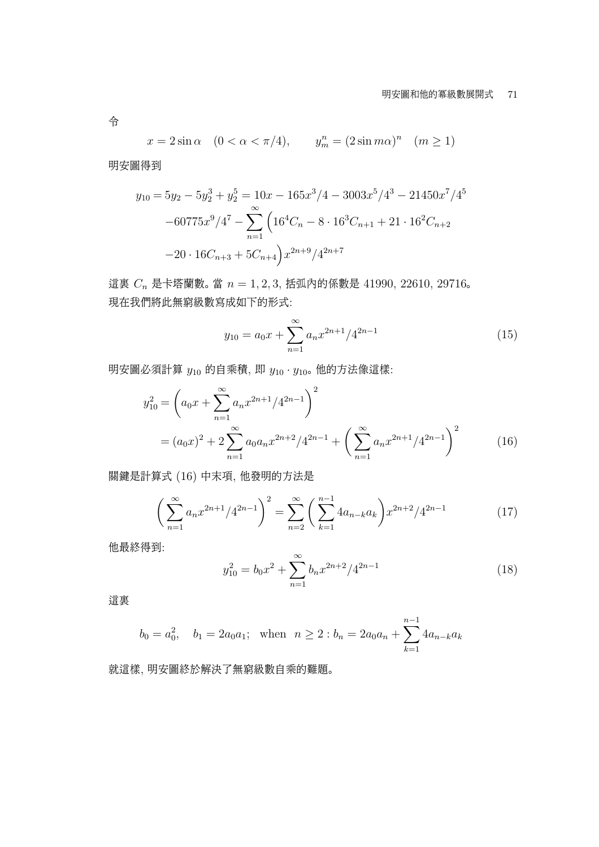#### 明安圖和他的冪級數展開式 71

$$
x = 2\sin\alpha \quad (0 < \alpha < \pi/4), \qquad y_m^n = (2\sin m\alpha)^n \quad (m \ge 1)
$$

明安圖得到

$$
y_{10} = 5y_2 - 5y_2^3 + y_2^5 = 10x - 165x^3/4 - 3003x^5/4^3 - 21450x^7/4^5 - 60775x^9/4^7 - \sum_{n=1}^{\infty} \left( 16^4C_n - 8 \cdot 16^3C_{n+1} + 21 \cdot 16^2C_{n+2} - 20 \cdot 16C_{n+3} + 5C_{n+4} \right) x^{2n+9}/4^{2n+7}
$$

這裏  $C_n$ 是卡塔蘭數。當  $n = 1, 2, 3$ , 括弧內的係數是 41990, 22610, 29716。 現在我們將此無窮級數寫成如下的形式:

$$
y_{10} = a_0 x + \sum_{n=1}^{\infty} a_n x^{2n+1} / 4^{2n-1}
$$
 (15)

明安圖必須計算  $y_{10}$  的自乘積, 即  $y_{10} \cdot y_{10}$ 。他的方法像這樣:

$$
y_{10}^2 = \left(a_0 x + \sum_{n=1}^{\infty} a_n x^{2n+1} / 4^{2n-1}\right)^2
$$
  
=  $(a_0 x)^2 + 2 \sum_{n=1}^{\infty} a_0 a_n x^{2n+2} / 4^{2n-1} + \left(\sum_{n=1}^{\infty} a_n x^{2n+1} / 4^{2n-1}\right)^2$  (16)

關鍵是計算式 (16) 中末項, 他發明的方法是

$$
\left(\sum_{n=1}^{\infty} a_n x^{2n+1} / 4^{2n-1}\right)^2 = \sum_{n=2}^{\infty} \left(\sum_{k=1}^{n-1} 4a_{n-k} a_k\right) x^{2n+2} / 4^{2n-1}
$$
 (17)

他最終得到:

$$
y_{10}^2 = b_0 x^2 + \sum_{n=1}^{\infty} b_n x^{2n+2} / 4^{2n-1}
$$
 (18)

這裏

$$
b_0 = a_0^2
$$
,  $b_1 = 2a_0a_1$ ; when  $n \ge 2 : b_n = 2a_0a_n + \sum_{k=1}^{n-1} 4a_{n-k}a_k$ 

就這樣, 明安圖終於解決了無窮級數自乘的難題。

令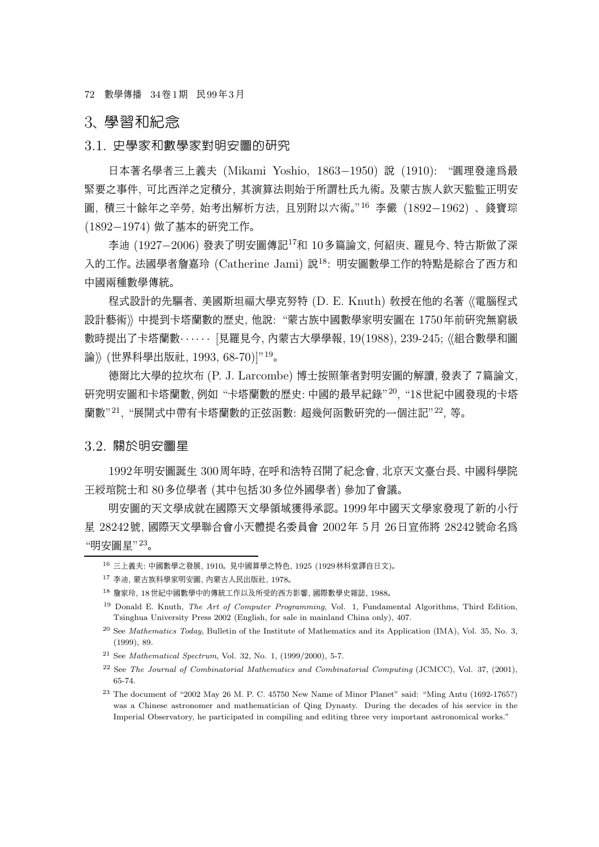72 數學傳播 34卷1期 民99年3月

### 3、 學習和紀念

#### 3.1. 史學家和數學家對明安圖的研究

日本著名學者三上義<sup>夫</sup> (Mikami Yoshio, 1863−1950) <sup>說</sup> (1910): "圓理發達為最 緊要之事件, 可比西洋之定積分, 其演算法則始于所謂杜氏九術。 及蒙古族人欽天監監正明安 圖, 積三十餘年之辛勞, 始考出解析方法, 且別附以六術。" $^{16}$  李儼  $(1892\!-\!1962)$  、錢寶琮 (1892−1974) 做了基本的研究工作。

<sup>李</sup><sup>迪</sup> (1927−2006) <sup>發</sup>表了明安圖傳記<sup>17</sup><sup>和</sup> <sup>10</sup>多篇論文, <sup>何</sup>紹庚、 <sup>羅</sup>見今、 <sup>特</sup>古斯做了<sup>深</sup> 入的工作。 法國學者詹嘉玲 (Catherine Jami) 說<sup>18</sup>: 明安圖數學工作的特點是綜合了西方和 中國兩種數學傳統。

程式設計的先驅者、 美國斯坦福大學克努特 (D. E. Knuth) 教授在他的名著 《電腦程式 設計藝術》中提到卡塔蘭數的歷史, 他說: "蒙古族中國數學家明安圖在 1750年前研究無窮級 數時提出了卡塔蘭數· ····· [見羅見今, 內蒙古大學學報, 19(1988), 239-245; 《組合數學和圖 論》(世界科學出版社, 1993, 68-70)]"<sup>19</sup>。

德爾比大學的拉坎布 (P. J. Larcombe) 博士按照筆者對明安圖的解讀, 發表了 7篇論文, 研究明安圖和卡塔蘭數, 例如 "卡塔蘭數的歷史: 中國的最早紀錄" <sup>20</sup>, "18世紀中國發現的卡塔 蘭數"<sup>21</sup>, "展開式中帶有卡塔蘭數的正弦函數: 超幾何函數研究的一個注記"<sup>22</sup>, 等。

#### 3.2. 關於明安圖星

1992年明安圖誕生 300周年時, 在呼和浩特召開了紀念會, 北京天文臺台長、 中國科學院 王綬琯院士和 80多位學者 (其中包括30多位外國學者) 參加了會議。

明安圖的天文學成就在國際天文學領域獲得承認。 1999年中國天文學家發現了新的小行 星 28242號, 國際天文學聯合會小天體提名委員會 2002年 5月 26日宣佈將 28242號命名為 "明安圖星"<sup>23</sup>。

<sup>16</sup> 三上義夫: 中國數學之發展, 1910。 見中國算學之特色, 1925 (1929林科堂譯自日文)。

<sup>17</sup> 李迪, 蒙古族科學家明安圖, 內蒙古人民出版社, 1978。

<sup>18</sup> 詹家玲, 18世紀中國數學中的傳統工作以及所受的西方影響, 國際數學史雜誌, 1988。

<sup>&</sup>lt;sup>19</sup> Donald E. Knuth, *The Art of Computer Programming*, Vol. 1, Fundamental Algorithms, Third Edition, Tsinghua University Press 2002 (English, for sale in mainland China only), 407.

<sup>20</sup> See Mathematics Today, Bulletin of the Institute of Mathematics and its Application (IMA), Vol. 35, No. 3, (1999), 89.

<sup>&</sup>lt;sup>21</sup> See *Mathematical Spectrum*, Vol. 32, No. 1,  $(1999/2000)$ , 5-7.

 $^{22}$  See The Journal of Combinatorial Mathematics and Combinatorial Computing (JCMCC), Vol. 37, (2001), 65-74.

<sup>&</sup>lt;sup>23</sup> The document of "2002 May 26 M. P. C. 45750 New Name of Minor Planet" said: "Ming Antu (1692-1765?) was a Chinese astronomer and mathematician of Qing Dynasty. During the decades of his service in the Imperial Observatory, he participated in compiling and editing three very important astronomical works."